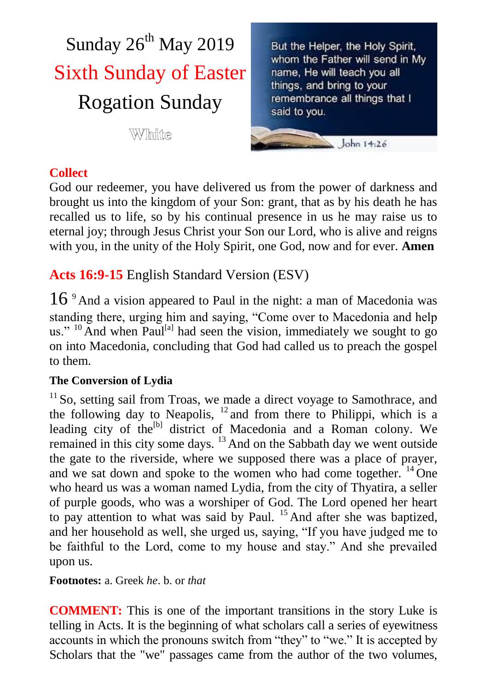

But the Helper, the Holy Spirit, whom the Father will send in My name, He will teach you all things, and bring to your remembrance all things that I said to you.

John  $14.26$ 

# **Collect**

God our redeemer, you have delivered us from the power of darkness and brought us into the kingdom of your Son: grant, that as by his death he has recalled us to life, so by his continual presence in us he may raise us to eternal joy; through Jesus Christ your Son our Lord, who is alive and reigns with you, in the unity of the Holy Spirit, one God, now and for ever. **Amen**

**Acts 16:9-15** English Standard Version (ESV)

16 <sup>9</sup> And a vision appeared to Paul in the night: a man of Macedonia was standing there, urging him and saying, "Come over to Macedonia and help us."  $^{10}$  And when Paul<sup>[a]</sup> had seen the vision, immediately we sought to go on into Macedonia, concluding that God had called us to preach the gospel to them.

## **The Conversion of Lydia**

<sup>11</sup> So, setting sail from Troas, we made a direct voyage to Samothrace, and the following day to Neapolis,  $12$  and from there to Philippi, which is a leading city of the<sup>[b]</sup> district of Macedonia and a Roman colony. We remained in this city some days. <sup>13</sup> And on the Sabbath day we went outside the gate to the riverside, where we supposed there was a place of prayer, and we sat down and spoke to the women who had come together.  $^{14}$  One who heard us was a woman named Lydia, from the city of Thyatira, a seller of purple goods, who was a worshiper of God. The Lord opened her heart to pay attention to what was said by Paul. <sup>15</sup> And after she was baptized, and her household as well, she urged us, saying, "If you have judged me to be faithful to the Lord, come to my house and stay." And she prevailed upon us.

### **Footnotes:** a. Greek *he*. b. or *that*

**COMMENT:** This is one of the important transitions in the story Luke is telling in Acts. It is the beginning of what scholars call a series of eyewitness accounts in which the pronouns switch from "they" to "we." It is accepted by Scholars that the "we" passages came from the author of the two volumes,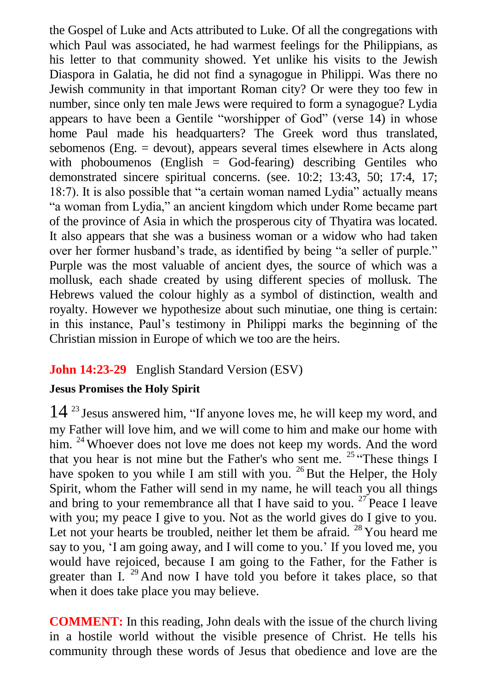the Gospel of Luke and Acts attributed to Luke. Of all the congregations with which Paul was associated, he had warmest feelings for the Philippians, as his letter to that community showed. Yet unlike his visits to the Jewish Diaspora in Galatia, he did not find a synagogue in Philippi. Was there no Jewish community in that important Roman city? Or were they too few in number, since only ten male Jews were required to form a synagogue? Lydia appears to have been a Gentile "worshipper of God" (verse 14) in whose home Paul made his headquarters? The Greek word thus translated, sebomenos (Eng. = devout), appears several times elsewhere in Acts along with phoboumenos (English  $=$  God-fearing) describing Gentiles who demonstrated sincere spiritual concerns. (see. 10:2; 13:43, 50; 17:4, 17; 18:7). It is also possible that "a certain woman named Lydia" actually means "a woman from Lydia," an ancient kingdom which under Rome became part of the province of Asia in which the prosperous city of Thyatira was located. It also appears that she was a business woman or a widow who had taken over her former husband's trade, as identified by being "a seller of purple." Purple was the most valuable of ancient dyes, the source of which was a mollusk, each shade created by using different species of mollusk. The Hebrews valued the colour highly as a symbol of distinction, wealth and royalty. However we hypothesize about such minutiae, one thing is certain: in this instance, Paul's testimony in Philippi marks the beginning of the Christian mission in Europe of which we too are the heirs.

## **John 14:23-29** English Standard Version (ESV)

### **Jesus Promises the Holy Spirit**

14 <sup>23</sup> Jesus answered him, "If anyone loves me, he will keep my word, and my Father will love him, and we will come to him and make our home with him. <sup>24</sup> Whoever does not love me does not keep my words. And the word that you hear is not mine but the Father's who sent me.  $25$  "These things I have spoken to you while I am still with you.  $^{26}$  But the Helper, the Holy Spirit, whom the Father will send in my name, he will teach you all things and bring to your remembrance all that I have said to you.  $27$  Peace I leave with you; my peace I give to you. Not as the world gives do I give to you. Let not your hearts be troubled, neither let them be afraid.  $^{28}$  You heard me say to you, 'I am going away, and I will come to you.' If you loved me, you would have rejoiced, because I am going to the Father, for the Father is greater than I. <sup>29</sup> And now I have told you before it takes place, so that when it does take place you may believe.

**COMMENT:** In this reading, John deals with the issue of the church living in a hostile world without the visible presence of Christ. He tells his community through these words of Jesus that obedience and love are the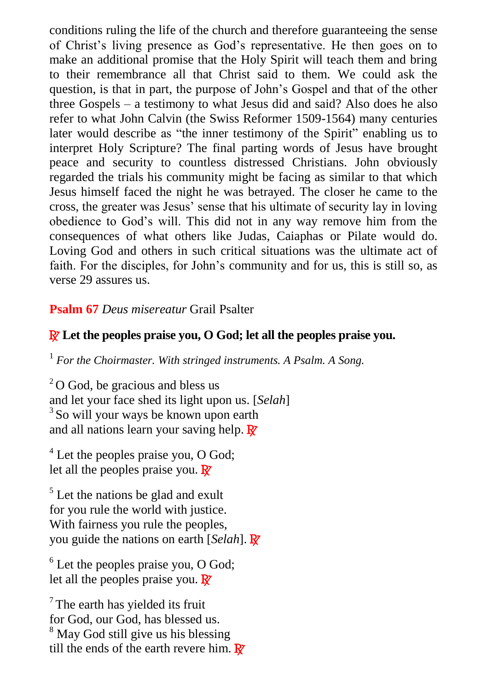conditions ruling the life of the church and therefore guaranteeing the sense of Christ's living presence as God's representative. He then goes on to make an additional promise that the Holy Spirit will teach them and bring to their remembrance all that Christ said to them. We could ask the question, is that in part, the purpose of John's Gospel and that of the other three Gospels – a testimony to what Jesus did and said? Also does he also refer to what John Calvin (the Swiss Reformer 1509-1564) many centuries later would describe as "the inner testimony of the Spirit" enabling us to interpret Holy Scripture? The final parting words of Jesus have brought peace and security to countless distressed Christians. John obviously regarded the trials his community might be facing as similar to that which Jesus himself faced the night he was betrayed. The closer he came to the cross, the greater was Jesus' sense that his ultimate of security lay in loving obedience to God's will. This did not in any way remove him from the consequences of what others like Judas, Caiaphas or Pilate would do. Loving God and others in such critical situations was the ultimate act of faith. For the disciples, for John's community and for us, this is still so, as verse 29 assures us.

#### **Psalm 67** *Deus misereatur* Grail Psalter

### R **Let the peoples praise you, O God; let all the peoples praise you.**

1 *For the Choirmaster. With stringed instruments. A Psalm. A Song.*

 $2^{\circ}$ O God, be gracious and bless us and let your face shed its light upon us. [*Selah*] <sup>3</sup>So will your ways be known upon earth and all nations learn your saving help.  $\mathbb{R}^7$ 

 $<sup>4</sup>$  Let the peoples praise you, O God;</sup> let all the peoples praise you.  $\mathbb{R}^7$ 

 $<sup>5</sup>$  Let the nations be glad and exult</sup> for you rule the world with justice. With fairness you rule the peoples. you guide the nations on earth [*Selah*]. R

 $6$  Let the peoples praise you, O God; let all the peoples praise you.  $\mathbb{R}^7$ 

 $7$ The earth has vielded its fruit for God, our God, has blessed us. <sup>8</sup> May God still give us his blessing till the ends of the earth revere him.  $\mathbb{R}^7$